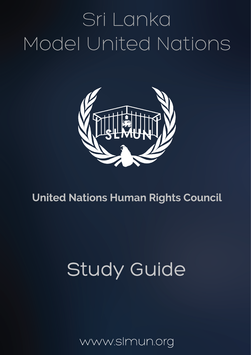# Sri Lanka Model United Nations



# **United Nations Human Rights Council**

# **Study Guide**

www.slmun.org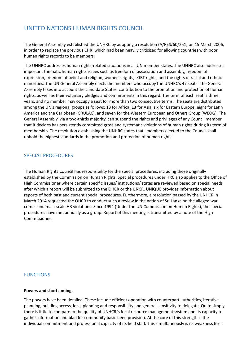### UNITED NATIONS HUMAN RIGHTS COUNCIL

The General Assembly established the UNHRC by adopting a resolution (A/RES/60/251) on 15 March 2006, in order to replace the previous CHR, which had been heavily criticized for allowing countries with poor human rights records to be members.

The UNHRC addresses human rights-related situations in all UN member states. The UNHRC also addresses important thematic human rights issues such as freedom of association and assembly, freedom of expression, freedom of belief and religion, women's rights, LGBT rights, and the rights of racial and ethnic minorities. The UN General Assembly elects the members who occupy the UNHRC's 47 seats. The General Assembly takes into account the candidate States' contribution to the promotion and protection of human rights, as well as their voluntary pledges and commitments in this regard. The term of each seat is three years, and no member may occupy a seat for more than two consecutive terms. The seats are distributed among the UN's regional groups as follows: 13 for Africa, 13 for Asia, six for Eastern Europe, eight for Latin America and the Caribbean (GRULAC), and seven for the Western European and Others Group (WEOG). The General Assembly, via a two-thirds majority, can suspend the rights and privileges of any Council member that it decides has persistently committed gross and systematic violations of human rights during its term of membership. The resolution establishing the UNHRC states that "members elected to the Council shall uphold the highest standards in the promotion and protection of human rights"

#### SPECIAL PROCEDURES

The Human Rights Council has responsibility for the special procedures, including those originally established by the Commission on Human Rights. Special procedures under HRC also applies to the Office of High Commissioner where certain specific issues/ institutions/ states are reviewed based on special needs after which a report will be submitted to the OHCR or the UNCR. UNIQUE provides information about reports of both past and current special procedures. Furthermore, a resolution passed by the UNHCR in March 2014 requested the OHCR to conduct such a review in the nation of Sri Lanka on the alleged war crimes and mass scale HR violations. Since 1994 (Under the UN Commission on Human Rights), the special procedures have met annually as a group. Report of this meeting is transmitted by a note of the High Commissioner. 

#### **FUNCTIONS**

#### **Powers and shortcomings**

The powers have been detailed. These include efficient operation with counterpart authorities, iterative planning, building access, local planning and responsibility and general sensitivity to delegate. Quite simply there is little to compare to the quality of UNHCR"s local resource management system and its capacity to gather information and plan for community basic need provision. At the core of this strength is the individual commitment and professional capacity of its field staff. This simultaneously is its weakness for it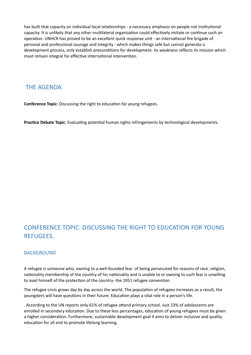has built that capacity on individual local relationships - a necessary emphasis on people not institutional capacity. It is unlikely that any other multilateral organization could effectively imitate or continue such an operation. UNHCR has proved to be an excellent quick response unit - an international fire brigade of personal and professional courage and integrity - which makes things safe but cannot generate a development process, only establish preconditions for development. Its weakness reflects its mission which must remain integral for effective international intervention.

### **THE AGENDA**

**Conference Topic**: Discussing the right to education for young refugees.

Practice Debate Topic: Evaluating potential human rights infringements by technological developments.

# CONFERENCE TOPIC: DISCUSSING THE RIGHT TO EDUCATION FOR YOUNG REFUGEES.

#### BACKGROUND

A refugee is someone who, owning to a well-founded fear of being persecuted for reasons of race, religion, nationality membership of the country of his nationality and is unable to or owning to such fear is unwilling to avail himself of the protection of the country- the 1951 refugee convention

The refugee crisis grows day by day across the world. The population of refugees increases as a result, the youngsters will have questions in their future. Education plays a vital role in a person's life.

. According to the UN reports only 61% of refugee attend primary school. Just 23% of adolescents are enrolled in secondary education. Due to these less percentages, education of young refugees must be given a higher consideration. Furthermore, sustainable development goal 4 aims to deliver inclusive and quality education for all and to promote lifelong learning.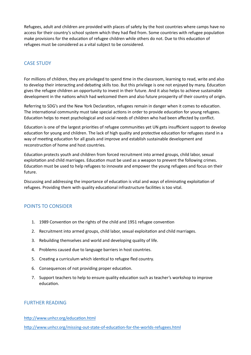Refugees, adult and children are provided with places of safety by the host countries where camps have no access for their country's school system which they had fled from. Some countries with refugee population make provisions for the education of refugee children while others do not. Due to this education of refugees must be considered as a vital subject to be considered.

#### **CASE STUDY**

For millions of children, they are privileged to spend time in the classroom, learning to read, write and also to develop their interacting and debating skills too. But this privilege is one not enjoyed by many. Education gives the refugee children an opportunity to invest in their future. And it also helps to achieve sustainable development in the nations which had welcomed them and also future prosperity of their country of origin.

Referring to SDG's and the New York Declaration, refugees remain in danger when it comes to education. The international community must take special actions in order to provide education for young refugees. Education helps to meet psychological and social needs of children who had been affected by conflict.

Education is one of the largest priorities of refugee communities yet UN gets insufficient support to develop education for young and children. The lack of high quality and protective education for refugees stand in a way of meeting education for all goals and improve and establish sustainable development and reconstruction of home and host countries.

Education protects youth and children from forced recruitment into armed groups, child labor, sexual exploitation and child marriages. Education must be used as a weapon to prevent the following crimes. Education must be used to help refugees to innovate and empower the young refugees and focus on their future. 

Discussing and addressing the importance of education is vital and ways of eliminating exploitation of refugees. Providing them with quality educational infrastructure facilities is too vital.

#### POINTS TO CONSIDER

- 1. 1989 Convention on the rights of the child and 1951 refugee convention
- 2. Recruitment into armed groups, child labor, sexual exploitation and child marriages.
- 3. Rebuilding themselves and world and developing quality of life.
- 4. Problems caused due to language barriers in host countries.
- 5. Creating a curriculum which identical to refugee fled country.
- 6. Consequences of not providing proper education.
- 7. Support teachers to help to ensure quality education such as teacher's workshop to improve education.

#### FURTHER READING

#### http://www.unhcr.org/education.html

http://www.unhcr.org/missing-out-state-of-education-for-the-worlds-refugees.html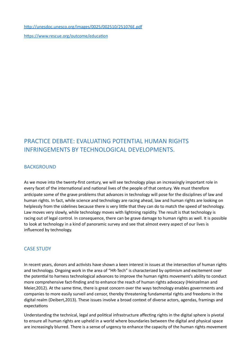[h^p://unesdoc.unesco.org/images/0025/002510/251076E.pdf](http://unesdoc.unesco.org/images/0025/002510/251076E.pdf) https://www.rescue.org/outcome/education

## PRACTICE DEBATE: EVALUATING POTENTIAL HUMAN RIGHTS INFRINGEMENTS BY TECHNOLOGICAL DEVELOPMENTS.

#### BACKGROUND

As we move into the twenty-first century, we will see technology plays an increasingly important role in every facet of the international and national lives of the people of that century. We must therefore anticipate some of the grave problems that advances in technology will pose for the disciplines of law and human rights. In fact, while science and technology are racing ahead, law and human rights are looking on helplessly from the sidelines because there is very little that they can do to match the speed of technology. Law moves very slowly, while technology moves with lightning rapidity. The result is that technology is racing out of legal control. In consequence, there can be grave damage to human rights as well. It is possible to look at technology in a kind of panoramic survey and see that almost every aspect of our lives is influenced by technology.

#### **CASE STUDY**

In recent years, donors and activists have shown a keen interest in issues at the intersection of human rights and technology. Ongoing work in the area of "HR-Tech" is characterized by optimism and excitement over the potential to harness technological advances to improve the human rights movement's ability to conduct more comprehensive fact-finding and to enhance the reach of human rights advocacy (Heinzelman and Meier, 2012). At the same time, there is great concern over the ways technology enables governments and companies to more easily surveil and censor, thereby threatening fundamental rights and freedoms in the digital realm (Deibert, 2013). These issues involve a broad context of diverse actors, agendas, framings and expectations

Understanding the technical, legal and political infrastructure affecting rights in the digital sphere is pivotal to ensure all human rights are upheld in a world where boundaries between the digital and physical space are increasingly blurred. There is a sense of urgency to enhance the capacity of the human rights movement